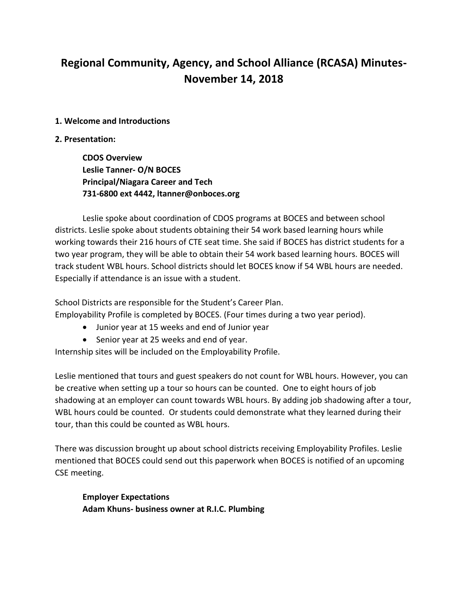# **Regional Community, Agency, and School Alliance (RCASA) Minutes-November 14, 2018**

#### **1. Welcome and Introductions**

#### **2. Presentation:**

**CDOS Overview Leslie Tanner- O/N BOCES Principal/Niagara Career and Tech 731-6800 ext 4442, ltanner@onboces.org**

Leslie spoke about coordination of CDOS programs at BOCES and between school districts. Leslie spoke about students obtaining their 54 work based learning hours while working towards their 216 hours of CTE seat time. She said if BOCES has district students for a two year program, they will be able to obtain their 54 work based learning hours. BOCES will track student WBL hours. School districts should let BOCES know if 54 WBL hours are needed. Especially if attendance is an issue with a student.

School Districts are responsible for the Student's Career Plan.

Employability Profile is completed by BOCES. (Four times during a two year period).

- Junior year at 15 weeks and end of Junior year
- Senior year at 25 weeks and end of year.

Internship sites will be included on the Employability Profile.

Leslie mentioned that tours and guest speakers do not count for WBL hours. However, you can be creative when setting up a tour so hours can be counted. One to eight hours of job shadowing at an employer can count towards WBL hours. By adding job shadowing after a tour, WBL hours could be counted. Or students could demonstrate what they learned during their tour, than this could be counted as WBL hours.

There was discussion brought up about school districts receiving Employability Profiles. Leslie mentioned that BOCES could send out this paperwork when BOCES is notified of an upcoming CSE meeting.

**Employer Expectations Adam Khuns- business owner at R.I.C. Plumbing**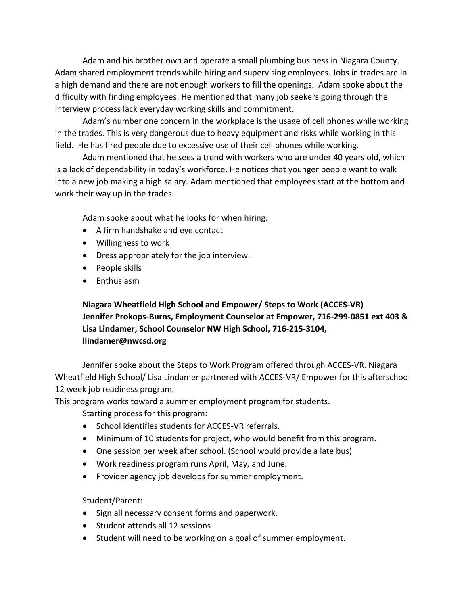Adam and his brother own and operate a small plumbing business in Niagara County. Adam shared employment trends while hiring and supervising employees. Jobs in trades are in a high demand and there are not enough workers to fill the openings. Adam spoke about the difficulty with finding employees. He mentioned that many job seekers going through the interview process lack everyday working skills and commitment.

Adam's number one concern in the workplace is the usage of cell phones while working in the trades. This is very dangerous due to heavy equipment and risks while working in this field. He has fired people due to excessive use of their cell phones while working.

Adam mentioned that he sees a trend with workers who are under 40 years old, which is a lack of dependability in today's workforce. He notices that younger people want to walk into a new job making a high salary. Adam mentioned that employees start at the bottom and work their way up in the trades.

Adam spoke about what he looks for when hiring:

- A firm handshake and eye contact
- Willingness to work
- Dress appropriately for the job interview.
- People skills
- Enthusiasm

# **Niagara Wheatfield High School and Empower/ Steps to Work (ACCES-VR) Jennifer Prokops-Burns, Employment Counselor at Empower, 716-299-0851 ext 403 & Lisa Lindamer, School Counselor NW High School, 716-215-3104, llindamer@nwcsd.org**

Jennifer spoke about the Steps to Work Program offered through ACCES-VR. Niagara Wheatfield High School/ Lisa Lindamer partnered with ACCES-VR/ Empower for this afterschool 12 week job readiness program.

This program works toward a summer employment program for students.

Starting process for this program:

- School identifies students for ACCES-VR referrals.
- Minimum of 10 students for project, who would benefit from this program.
- One session per week after school. (School would provide a late bus)
- Work readiness program runs April, May, and June.
- Provider agency job develops for summer employment.

## Student/Parent:

- Sign all necessary consent forms and paperwork.
- Student attends all 12 sessions
- Student will need to be working on a goal of summer employment.